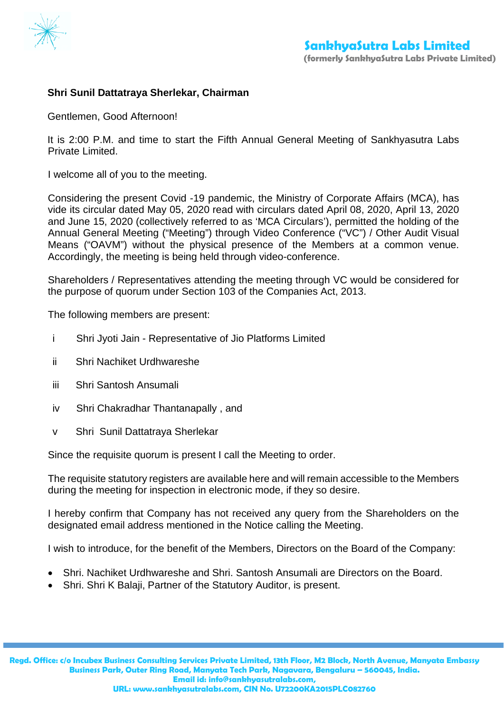

## **Shri Sunil Dattatraya Sherlekar, Chairman**

Gentlemen, Good Afternoon!

It is 2:00 P.M. and time to start the Fifth Annual General Meeting of Sankhyasutra Labs Private Limited.

I welcome all of you to the meeting.

Considering the present Covid -19 pandemic, the Ministry of Corporate Affairs (MCA), has vide its circular dated May 05, 2020 read with circulars dated April 08, 2020, April 13, 2020 and June 15, 2020 (collectively referred to as 'MCA Circulars'), permitted the holding of the Annual General Meeting ("Meeting") through Video Conference ("VC") / Other Audit Visual Means ("OAVM") without the physical presence of the Members at a common venue. Accordingly, the meeting is being held through video-conference.

Shareholders / Representatives attending the meeting through VC would be considered for the purpose of quorum under Section 103 of the Companies Act, 2013.

The following members are present:

- i Shri Jyoti Jain Representative of Jio Platforms Limited
- ii Shri Nachiket Urdhwareshe
- iii Shri Santosh Ansumali
- iv Shri Chakradhar Thantanapally , and
- v Shri Sunil Dattatraya Sherlekar

Since the requisite quorum is present I call the Meeting to order.

The requisite statutory registers are available here and will remain accessible to the Members during the meeting for inspection in electronic mode, if they so desire.

I hereby confirm that Company has not received any query from the Shareholders on the designated email address mentioned in the Notice calling the Meeting.

I wish to introduce, for the benefit of the Members, Directors on the Board of the Company:

- Shri. Nachiket Urdhwareshe and Shri. Santosh Ansumali are Directors on the Board.
- Shri. Shri K Balaji, Partner of the Statutory Auditor, is present.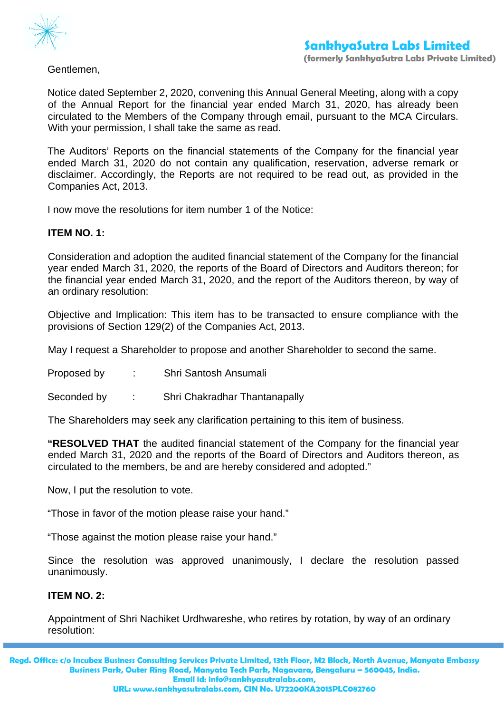

Gentlemen,

Notice dated September 2, 2020, convening this Annual General Meeting, along with a copy of the Annual Report for the financial year ended March 31, 2020, has already been circulated to the Members of the Company through email, pursuant to the MCA Circulars. With your permission, I shall take the same as read.

The Auditors' Reports on the financial statements of the Company for the financial year ended March 31, 2020 do not contain any qualification, reservation, adverse remark or disclaimer. Accordingly, the Reports are not required to be read out, as provided in the Companies Act, 2013.

I now move the resolutions for item number 1 of the Notice:

## **ITEM NO. 1:**

Consideration and adoption the audited financial statement of the Company for the financial year ended March 31, 2020, the reports of the Board of Directors and Auditors thereon; for the financial year ended March 31, 2020, and the report of the Auditors thereon, by way of an ordinary resolution:

Objective and Implication: This item has to be transacted to ensure compliance with the provisions of Section 129(2) of the Companies Act, 2013.

May I request a Shareholder to propose and another Shareholder to second the same.

- Proposed by : Shri Santosh Ansumali
- Seconded by : Shri Chakradhar Thantanapally

The Shareholders may seek any clarification pertaining to this item of business.

**"RESOLVED THAT** the audited financial statement of the Company for the financial year ended March 31, 2020 and the reports of the Board of Directors and Auditors thereon, as circulated to the members, be and are hereby considered and adopted."

Now, I put the resolution to vote.

"Those in favor of the motion please raise your hand."

"Those against the motion please raise your hand."

Since the resolution was approved unanimously, I declare the resolution passed unanimously.

## **ITEM NO. 2:**

Appointment of Shri Nachiket Urdhwareshe, who retires by rotation, by way of an ordinary resolution:

**Regd. Office: c/o Incubex Business Consulting Services Private Limited, 13th Floor, M2 Block, North Avenue, Manyata Embassy Business Park, Outer Ring Road, Manyata Tech Park, Nagavara, Bengaluru – 560045, India. Email id: info@sankhyasutralabs.com,**